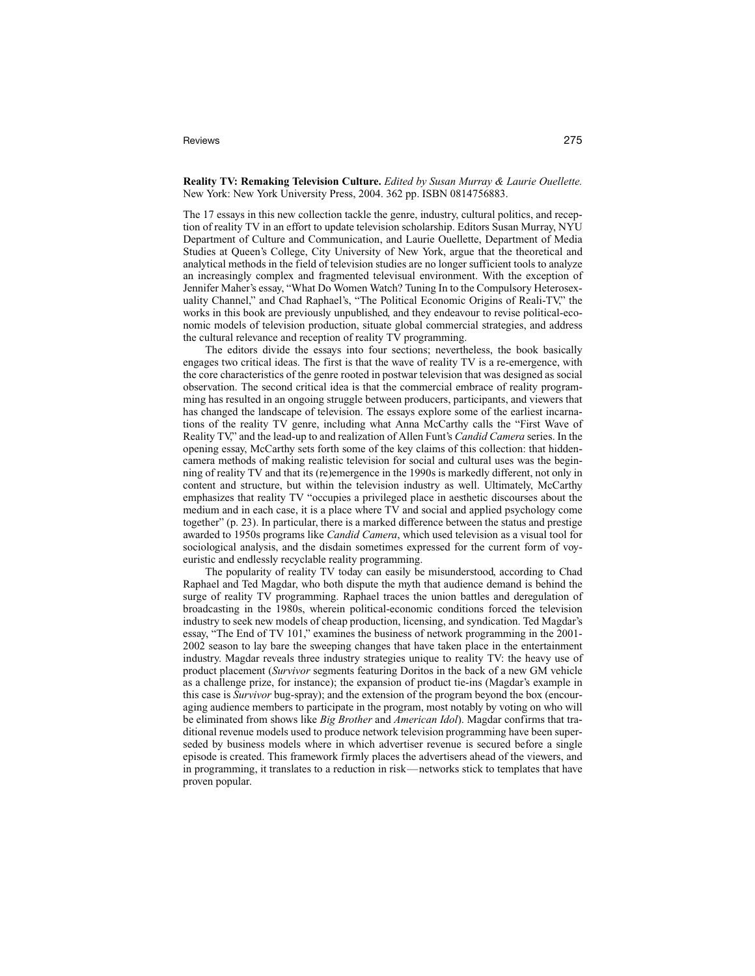## Reviews 275

**Reality TV: Remaking Television Culture.** *Edited by Susan Murray & Laurie Ouellette.* New York: New York University Press, 2004. 362 pp. ISBN 0814756883.

The 17 essays in this new collection tackle the genre, industry, cultural politics, and reception of reality TV in an effort to update television scholarship. Editors Susan Murray, NYU Department of Culture and Communication, and Laurie Ouellette, Department of Media Studies at Queen's College, City University of New York, argue that the theoretical and analytical methods in the field of television studies are no longer sufficient tools to analyze an increasingly complex and fragmented televisual environment. With the exception of Jennifer Maher's essay, "What Do Women Watch? Tuning In to the Compulsory Heterosexuality Channel," and Chad Raphael's, "The Political Economic Origins of Reali-TV," the works in this book are previously unpublished, and they endeavour to revise political-economic models of television production, situate global commercial strategies, and address the cultural relevance and reception of reality TV programming.

The editors divide the essays into four sections; nevertheless, the book basically engages two critical ideas. The first is that the wave of reality TV is a re-emergence, with the core characteristics of the genre rooted in postwar television that was designed as social observation. The second critical idea is that the commercial embrace of reality programming has resulted in an ongoing struggle between producers, participants, and viewers that has changed the landscape of television. The essays explore some of the earliest incarnations of the reality TV genre, including what Anna McCarthy calls the "First Wave of Reality TV," and the lead-up to and realization of Allen Funt's *Candid Camera* series. In the opening essay, McCarthy sets forth some of the key claims of this collection: that hiddencamera methods of making realistic television for social and cultural uses was the beginning of reality TV and that its (re)emergence in the 1990s is markedly different, not only in content and structure, but within the television industry as well. Ultimately, McCarthy emphasizes that reality TV "occupies a privileged place in aesthetic discourses about the medium and in each case, it is a place where TV and social and applied psychology come together" (p. 23). In particular, there is a marked difference between the status and prestige awarded to 1950s programs like *Candid Camera*, which used television as a visual tool for sociological analysis, and the disdain sometimes expressed for the current form of voyeuristic and endlessly recyclable reality programming.

The popularity of reality TV today can easily be misunderstood, according to Chad Raphael and Ted Magdar, who both dispute the myth that audience demand is behind the surge of reality TV programming. Raphael traces the union battles and deregulation of broadcasting in the 1980s, wherein political-economic conditions forced the television industry to seek new models of cheap production, licensing, and syndication. Ted Magdar's essay, "The End of TV 101," examines the business of network programming in the 2001- 2002 season to lay bare the sweeping changes that have taken place in the entertainment industry. Magdar reveals three industry strategies unique to reality TV: the heavy use of product placement (*Survivor* segments featuring Doritos in the back of a new GM vehicle as a challenge prize, for instance); the expansion of product tie-ins (Magdar's example in this case is *Survivor* bug-spray); and the extension of the program beyond the box (encouraging audience members to participate in the program, most notably by voting on who will be eliminated from shows like *Big Brother* and *American Idol*). Magdar confirms that traditional revenue models used to produce network television programming have been superseded by business models where in which advertiser revenue is secured before a single episode is created. This framework firmly places the advertisers ahead of the viewers, and in programming, it translates to a reduction in risk—networks stick to templates that have proven popular.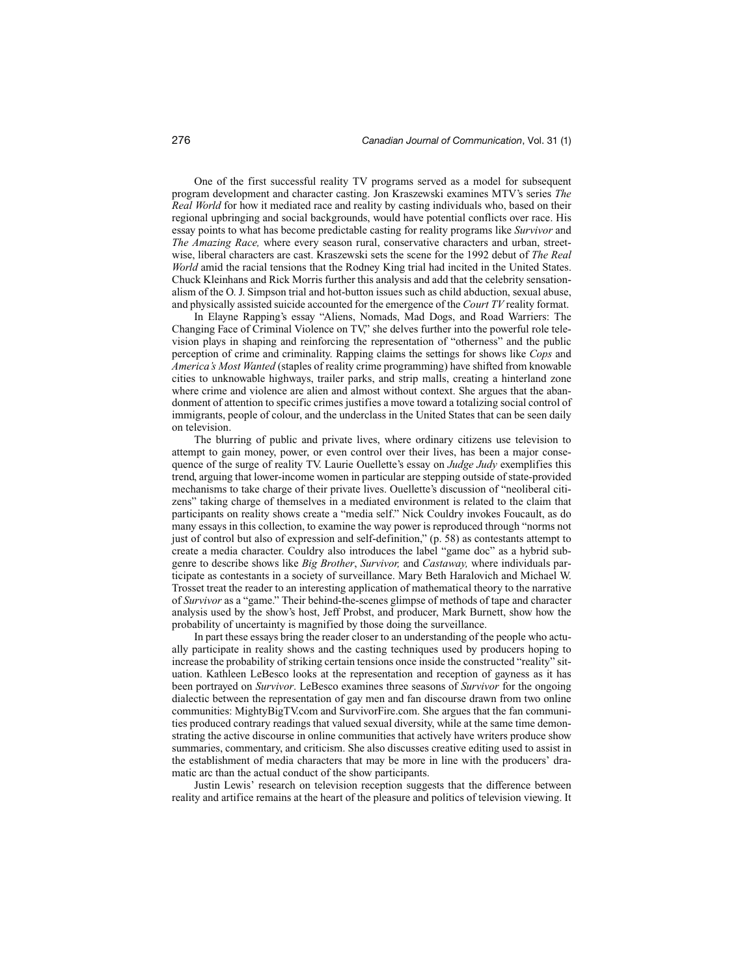One of the first successful reality TV programs served as a model for subsequent program development and character casting. Jon Kraszewski examines MTV's series *The Real World* for how it mediated race and reality by casting individuals who, based on their regional upbringing and social backgrounds, would have potential conflicts over race. His essay points to what has become predictable casting for reality programs like *Survivor* and *The Amazing Race,* where every season rural, conservative characters and urban, streetwise, liberal characters are cast. Kraszewski sets the scene for the 1992 debut of *The Real World* amid the racial tensions that the Rodney King trial had incited in the United States. Chuck Kleinhans and Rick Morris further this analysis and add that the celebrity sensationalism of the O. J. Simpson trial and hot-button issues such as child abduction, sexual abuse, and physically assisted suicide accounted for the emergence of the *Court TV* reality format.

In Elayne Rapping's essay "Aliens, Nomads, Mad Dogs, and Road Warriers: The Changing Face of Criminal Violence on TV," she delves further into the powerful role television plays in shaping and reinforcing the representation of "otherness" and the public perception of crime and criminality. Rapping claims the settings for shows like *Cops* and *America's Most Wanted* (staples of reality crime programming) have shifted from knowable cities to unknowable highways, trailer parks, and strip malls, creating a hinterland zone where crime and violence are alien and almost without context. She argues that the abandonment of attention to specific crimes justifies a move toward a totalizing social control of immigrants, people of colour, and the underclass in the United States that can be seen daily on television.

The blurring of public and private lives, where ordinary citizens use television to attempt to gain money, power, or even control over their lives, has been a major consequence of the surge of reality TV. Laurie Ouellette's essay on *Judge Judy* exemplifies this trend, arguing that lower-income women in particular are stepping outside of state-provided mechanisms to take charge of their private lives. Ouellette's discussion of "neoliberal citizens" taking charge of themselves in a mediated environment is related to the claim that participants on reality shows create a "media self." Nick Couldry invokes Foucault, as do many essays in this collection, to examine the way power is reproduced through "norms not just of control but also of expression and self-definition," (p. 58) as contestants attempt to create a media character. Couldry also introduces the label "game doc" as a hybrid subgenre to describe shows like *Big Brother*, *Survivor,* and *Castaway,* where individuals participate as contestants in a society of surveillance. Mary Beth Haralovich and Michael W. Trosset treat the reader to an interesting application of mathematical theory to the narrative of *Survivor* as a "game." Their behind-the-scenes glimpse of methods of tape and character analysis used by the show's host, Jeff Probst, and producer, Mark Burnett, show how the probability of uncertainty is magnified by those doing the surveillance.

In part these essays bring the reader closer to an understanding of the people who actually participate in reality shows and the casting techniques used by producers hoping to increase the probability of striking certain tensions once inside the constructed "reality" situation. Kathleen LeBesco looks at the representation and reception of gayness as it has been portrayed on *Survivor*. LeBesco examines three seasons of *Survivor* for the ongoing dialectic between the representation of gay men and fan discourse drawn from two online communities: MightyBigTV.com and SurvivorFire.com. She argues that the fan communities produced contrary readings that valued sexual diversity, while at the same time demonstrating the active discourse in online communities that actively have writers produce show summaries, commentary, and criticism. She also discusses creative editing used to assist in the establishment of media characters that may be more in line with the producers' dramatic arc than the actual conduct of the show participants.

Justin Lewis' research on television reception suggests that the difference between reality and artifice remains at the heart of the pleasure and politics of television viewing. It